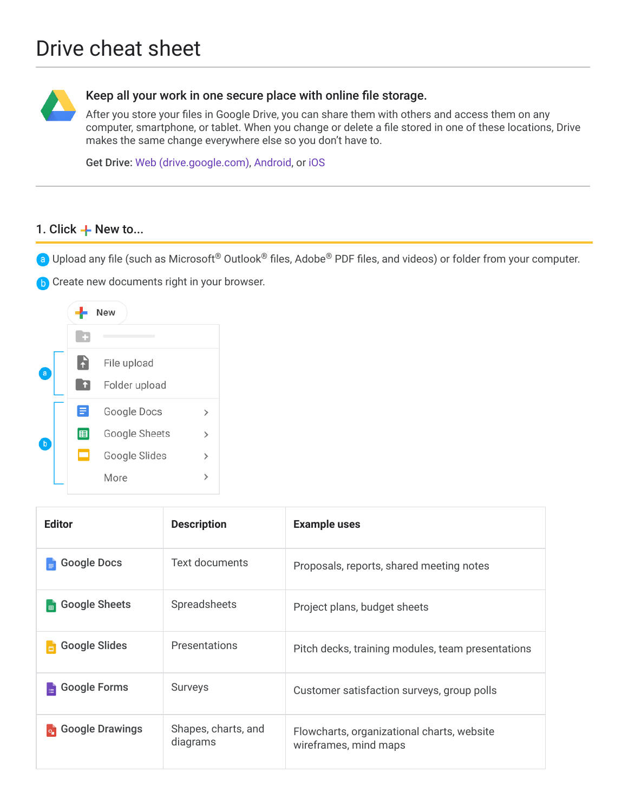

## Keep all your work in one secure place with online file storage.

After you store your files in Google Drive, you can share them with others and access them on any computer, smartphone, or tablet. When you change or delete a file stored in one of these locations, Drive makes the same change everywhere else so you don't have to.

Get Drive: [Web \(drive.google.com\),](https://drive.google.com/) [Android](https://play.google.com/store/apps/details?id=com.google.android.apps.docs), or [iOS](https://itunes.apple.com/app/google-drive-free-online-storage/id507874739)

#### 1. Click  $+$  New to...

- Upload any file (such as Microsoft® Outlook® files, Adobe® PDF files, and videos) or folder from your computer.
- **b** Create new documents right in your browser.



| <b>Editor</b>                   | <b>Description</b>              | <b>Example uses</b>                                                 |
|---------------------------------|---------------------------------|---------------------------------------------------------------------|
| <b>Google Docs</b>              | <b>Text documents</b>           | Proposals, reports, shared meeting notes                            |
| <b>Google Sheets</b><br>圓       | Spreadsheets                    | Project plans, budget sheets                                        |
| <b>Google Slides</b>            | Presentations                   | Pitch decks, training modules, team presentations                   |
| <b>Google Forms</b><br>$\equiv$ | Surveys                         | Customer satisfaction surveys, group polls                          |
| <b>o</b> Google Drawings        | Shapes, charts, and<br>diagrams | Flowcharts, organizational charts, website<br>wireframes, mind maps |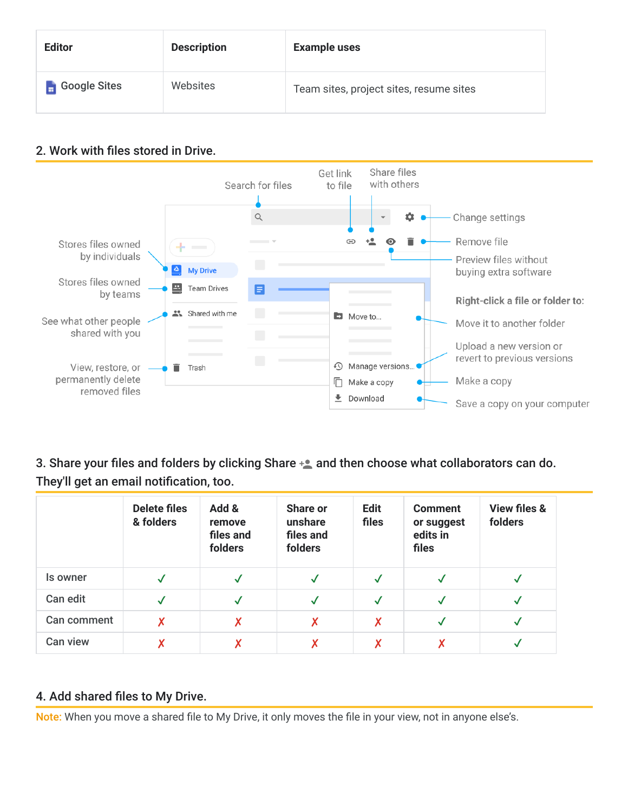| <b>Editor</b>       | <b>Description</b> | <b>Example uses</b>                     |
|---------------------|--------------------|-----------------------------------------|
| $\Box$ Google Sites | Websites           | Team sites, project sites, resume sites |

# 2. Work with files stored in Drive.



3. Share your files and folders by clicking Share  $+$  and then choose what collaborators can do. They'll get an email notification, too.

|             | <b>Delete files</b><br>& folders | Add &<br>remove<br>files and<br>folders | Share or<br>unshare<br>files and<br>folders | <b>Edit</b><br>files | <b>Comment</b><br>or suggest<br>edits in<br>files | <b>View files &amp;</b><br>folders |
|-------------|----------------------------------|-----------------------------------------|---------------------------------------------|----------------------|---------------------------------------------------|------------------------------------|
| Is owner    |                                  | $\checkmark$                            | $\checkmark$                                | $\checkmark$         | $\checkmark$                                      | $\checkmark$                       |
| Can edit    |                                  | $\checkmark$                            | $\checkmark$                                | $\checkmark$         | $\checkmark$                                      | $\checkmark$                       |
| Can comment | X                                | X                                       | Χ                                           | X                    | √                                                 | $\checkmark$                       |
| Can view    | Χ                                | X                                       | Χ                                           | X                    | Х                                                 |                                    |

## 4. Add shared files to My Drive.

Note: When you move a shared file to My Drive, it only moves the file in your view, not in anyone else's.